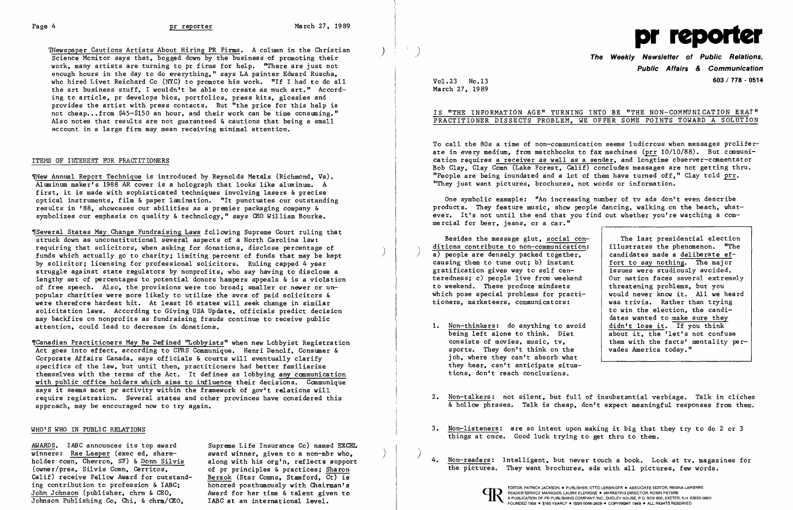~~ewspaper Cautions Artists About Hiring PR Firms. A column in the Christian ) Science Monitor says that, bogged down by the business of promoting their work, many artists are turning to pr firms for help. "There are just not enough hours in the day to do everything," says LA painter Edward Ruscha, who hired Livet Reichard Co (NYC) to promote his work. "If I had to do all the art business stuff, I wouldn't be able to create as much art." According to article, pr develops bios, portfolios, press kits, glossies and provides the artist with press contacts. But "the price for this help is not cheap...from \$45-\$150 an hour, and their work can be time consuming." Also notes that results are not guaranteed & cautions that being a small account in a large firm may mean receiving minimal attention.

### ITEHS OF INTEREST FOR PRAcrITIONERS

1New Annual Report Technique is introduced by Reynolds Metals (Richmond, Va). Aluminum maker's 1988 AR cover is a holograph that looks like aluminum. A first, it is made with sophisticated techniques involving lasers & precise optical instruments, film & paper lamination. "It punctuates our outstanding results in '88, showcases our abilities as a premier packaging company & symbolizes our emphasis on quality & technology," says CEO William Bourke.

"Canadian Practitioners May Be Defined "Lobbyists" when new Lobbyist Registration Act goes into effect, according to CPRS Communique. Henri Deno1f, Consumer & Corporate Affairs Canada, says officials & courts will eventually clarify specifics of the law, but until then, practitioners had better familiarize themselves with the terms of the Act. It defines as lobbying any communication with public office holders which aims to influence their decisions. Communique says it seems most pr activity within the framework of gov't relations will require registration. Several states and other provinces have considered this approach, may be encouraged now to try again.

## WHO'S WHO IN PUBLIC RELATIONS

# IS "THE INFORMATION AGE" TURNING INTO BE "THE NON-COMMUNICATION ERA?" PRACTITIONER DISSECTS PROBLEM, WE OFFER SOME POINTS TOWARD A SOLUTION

~Severa1 States May Change Fundraising Laws following Supreme Court ruling that struck down as unconstitutional several aspects of a North Carolina law: requiring that solicitors, when asking for donations, disclose percentage of funds which actually go to charity; limiting percent of funds that may be kept by solicitor; licensing for professional solicitors. Ruling capped 4 year struggle against state regulators by nonprofits, who say having to disclose a lengthy set of percentages to potential donors hampers appeals & is a violation of free speech. Also, the provisions were too broad; smaller or newer or un popular charities were more likely to utilize the svcs of paid solicitors & were therefore hardest hit. At least 16 states will seek change in similar solicitation laws. According to Giving USA Update, officials predict decision may backfire on nonprofits as fundraising frauds continue to receive public attention, could lead to decrease in donations.

ditions contribute to non-communication: Besides the message glut, social cona) people are densely packed together, candidates made a deliberate ef-<br>causing them to tune out; b) instant fort to say nothing. The major causing them to tune out; b) instant  $f(x) = \begin{cases} \frac{1}{x} & \text{for } x \neq 0 \\ \frac{1}{x} & \text{for } x = 0 \end{cases}$  for to say nothing. The major gratification gives way to self cen-<br>teredness: c) people live from weekend and lour mation faces several extremely teredness; c) people live from weekend to weekend. These produce mindsets | threatening problems, but you which pose special problems for practi tioners, marketeers, communicators:

- 1.  $\frac{\text{Non-thinkers:}}{\text{being left alone to think.} \quad \text{Dict}}$ sports. They don't think on the job, where they can't absorb what they hear, can't anticipate situa tions, don't reach conclusions.
- 
- things at once. Good luck trying to get thru to them.
- 

AWARDS. IABC announces its top award Supreme Life Insurance Co) named EXCEL award winner, given to a non-mbr who, along with his org'n, reflects support<br>of pr principles & practices: Sharon of pr principles & practices; Sharon The pictures. They want brochures, ads with all pictures, few words.<br>Berzok (Star Comns, Stamford, Ct) is honored posthumously with Chairman's Award for her time & talent given to<br>IABC at an international level. INCORDING THE SETTEM CHARGER AND THE SURFACT AND THE SURFACT OF THE SURFACT OF THE SURFACT AND A PUBLISHER, OTTO LERBINGER • ASSOCIATE EDITOR, REGINA LAPIERRE AND A PUBLISHER, OTTO LERBINGER • ASSOCIATE EDITOR, REGINA LAPI



**Public Affairs & Communication**  Vol. 23 No.13 **603/778 - 0514** 

The last presidential election<br>illustrates the phenomenon. "The would never know it. All we heard<br>was trivia. Rather than trying to win the election, the candidates wanted to make sure they<br>didn't lose it. If you think being left alone to think. Diet about it, the 'let's not confuse<br>consists of movies, music, tv, them with the facts' mentality per them with the facts' mentality per-<br>vades America today."

March 27, 1989

 $\mathcal{X}^{\pm}$ 

To call the 80s a time of non-communication seems ludicrous when messages proliferate in every medium, from matchbooks to fax machines (prr 10/10/88). But communication requires a receiver as well as a sender, and longtime observer-commentator Bob Clay, Clay Comn (Lake Forest, Calif) concludes messages are not getting thru. "People are being inundated and a lot of them have turned off." Clay told  $\text{prr.}$ "They just want pictures, brochures, not words or information.

One symbolic example: "An increasing number of tv ads don't even describe products. They feature music, show people dancing, walking on the beach, whatever. It's not until the end that you find out whether you're watching a commercial for beer, jeans, or a car."

2. Non-talkers: not silent, but full of insubstantial verbiage. Talk in cliches & hollow phrases. Talk is cheap, don't expect meaningful responses from them.

3. Non-listeners: are so intent upon making it big that they try to do 2 or 3

4. Non-readers: Intelligent, but never touch a book. Look at tv, magazines for

winners: Rae Leaper (exec ed, shareholder comn, Chevron, SF) & Donn Silvis<br>(owner/pres, Silvis Comn, Cerritos, Calif) receive Fellow Award for outstanding contribution to profession & IABC; John Johnson (publisher, chrm & CEO, Johnson Publishing Co, Chi, & chrm/CEO,